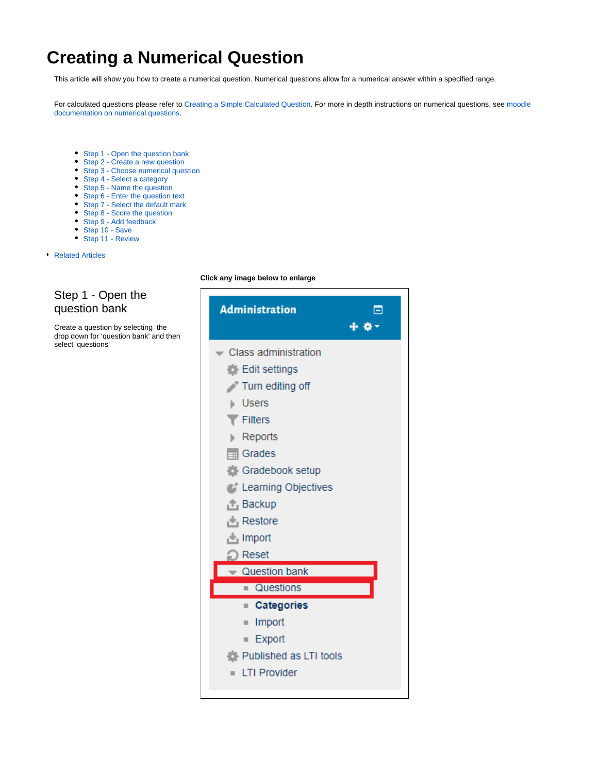# <span id="page-0-1"></span>**Creating a Numerical Question**

This article will show you how to create a numerical question. Numerical questions allow for a numerical answer within a specified range.

For calculated questions please refer to [Creating a Simple Calculated Question](https://wiki.lte.strath.ac.uk/display/MS/Creating+a+Simple+Calculated+Question). For more in depth instructions on numerical questions, see [moodle](https://docs.moodle.org/34/en/Numerical)  [documentation on numerical questions.](https://docs.moodle.org/34/en/Numerical)

- [Step 1 Open the question bank](#page-0-0)
- [Step 2 Create a new question](#page-1-0)
- [Step 3 Choose numerical question](#page-1-1)
- [Step 4 Select a category](#page-1-2)
- [Step 5 Name the question](#page-1-3)
- [Step 6 Enter the question text](#page-1-4)
- [Step 7 Select the default mark](#page-1-5)
- [Step 8 Score the question](#page-1-6)
- [Step 9 Add feedback](#page-2-0)
- [Step 10 Save](#page-2-1)
- [Step 11 Review](#page-2-2)
- **[Related Articles](#page-2-3)**

#### <span id="page-0-0"></span>Step 1 - Open the question bank

Create a question by selecting the drop down for 'question bank' and then select 'questions'

#### **Click any image below to enlarge**

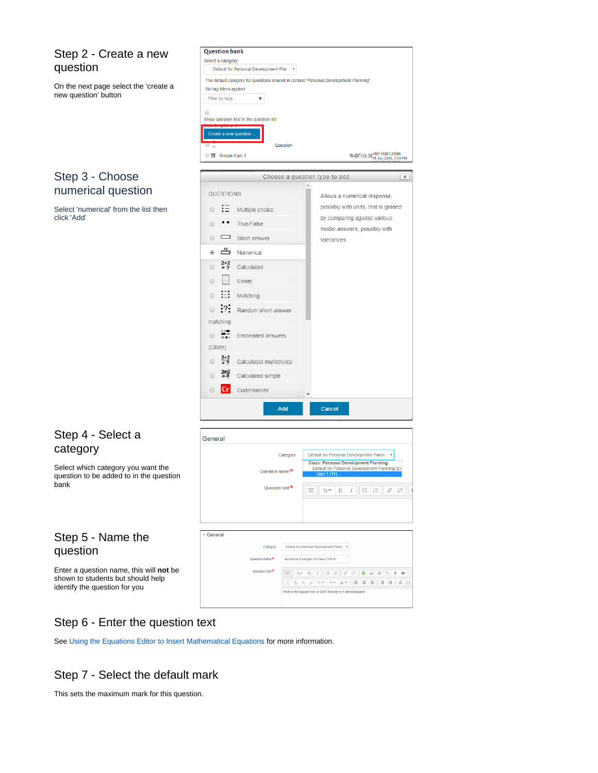#### <span id="page-1-0"></span>Step 2 - Create a new question

**Question bank** Select a category:

No tag filters applied Filter by tags.

Show question text in the question list

 $\Box$ 

Default for Personal Development Plar v

 $\bar{\textbf{v}}$ 

The default category for questions shared in context 'Personal Development Planning'

On the next page select the 'create a new question' button

#### <span id="page-1-1"></span>Step 3 - Choose numerical question

Select 'numerical' from the list then click 'Add'

#### Create a new question Question MCD Main MacLellan ■ 響 Simple Calc 1 Choose a question type to add  $\overline{\mathbf{x}}$ QUESTIONS Allows a numerical response, possibly with units, that is graded  $\circ$  :  $\equiv$  Multiple choice by comparing against various  $\circ$  • True/False model answers, possibly with  $\circ$   $\Box$  Short answer tolerances.  $\circ$   $\frac{12}{2}$  Numerical  $2+2$  Calculated  $\circ$ 圖  $\circ$ Essay  $\circ$  ::: Matching  $\odot$  : ?: Random short-answer matching  $\overline{\bullet}$   $\overline{\bullet}$  Embedded answers  $(Cloze)$  $\circ$   $\frac{2+2}{2}$  Calculated multichoice  $2+2$  Calculated simple  $\odot$  $|{\bf Cr}|$  $\circ$ CodeRunner Add Cancel

#### <span id="page-1-2"></span>Step 4 - Select a category

Select which category you want the question to be added to in the question bank

### <span id="page-1-3"></span>Step 5 - Name the question

Enter a question name, this will **not** be shown to students but should help identify the question for you

| Default for Personal Development Planni<br>Category<br><b>Class: Personal Development Planning</b><br>Question name <sup>**</sup><br>Quiz 1 (11)<br>Question text <sup>*</sup><br>辷<br>E.<br>這<br>$A_A \blacktriangleright$<br>B<br>General<br>Default for Personal Development Planni<br>Category<br>Question name <sup>**</sup><br>Numerical Example 1a Class CS975<br>Question text <sup>*</sup><br>這<br>Ì<br>囲<br>$A_4 \neq$<br>這<br>88<br>$\overline{\mathbb{M}}$<br>$\left\vert \vec{w}\right\rangle$<br>e<br>B<br>M<br>$\mathbf{X}^2$<br>E<br>玉<br>옹<br>'⊭∕<br>注<br>彊<br>彊<br>브<br>$X_2$<br>Frw<br>$A -$ | General |  |                                               |
|-----------------------------------------------------------------------------------------------------------------------------------------------------------------------------------------------------------------------------------------------------------------------------------------------------------------------------------------------------------------------------------------------------------------------------------------------------------------------------------------------------------------------------------------------------------------------------------------------------------------|---------|--|-----------------------------------------------|
|                                                                                                                                                                                                                                                                                                                                                                                                                                                                                                                                                                                                                 |         |  | $\boldsymbol{\mathrm{v}}$                     |
|                                                                                                                                                                                                                                                                                                                                                                                                                                                                                                                                                                                                                 |         |  | Default for Personal Development Planning (2) |
|                                                                                                                                                                                                                                                                                                                                                                                                                                                                                                                                                                                                                 |         |  | 恣<br>P                                        |
|                                                                                                                                                                                                                                                                                                                                                                                                                                                                                                                                                                                                                 |         |  |                                               |
|                                                                                                                                                                                                                                                                                                                                                                                                                                                                                                                                                                                                                 |         |  |                                               |
|                                                                                                                                                                                                                                                                                                                                                                                                                                                                                                                                                                                                                 |         |  |                                               |
|                                                                                                                                                                                                                                                                                                                                                                                                                                                                                                                                                                                                                 |         |  |                                               |
|                                                                                                                                                                                                                                                                                                                                                                                                                                                                                                                                                                                                                 |         |  |                                               |
|                                                                                                                                                                                                                                                                                                                                                                                                                                                                                                                                                                                                                 |         |  |                                               |

### <span id="page-1-4"></span>Step 6 - Enter the question text

See [Using the Equations Editor to Insert Mathematical Equations](https://wiki.lte.strath.ac.uk/display/MS/Using+the+Equations+Editor+to+Insert+Mathematical+Equations) for more information.

### <span id="page-1-5"></span>Step 7 - Select the default mark

<span id="page-1-6"></span>This sets the maximum mark for this question.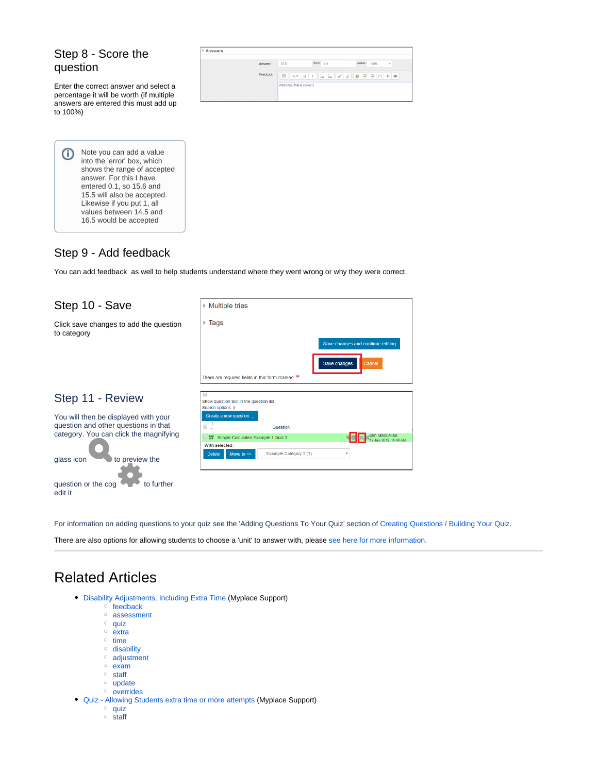#### Step 8 - Score the question

Enter the correct answer and select a percentage it will be worth (if multiple answers are entered this must add up to 100%)

| $-$ Answers |                                                               |                    |
|-------------|---------------------------------------------------------------|--------------------|
| Answer 1    | Error $0.1$<br>15.5                                           | Grade<br>100%<br>٠ |
| Feedback    | Ë<br>$\Delta$ $\bullet$ B I E E $\theta$ & C E B $\uparrow$ + |                    |
|             | Well done, that is correct.                                   |                    |
|             |                                                               |                    |

Note you can add a value O into the 'error' box, which shows the range of accepted answer. For this I have entered 0.1, so 15.6 and 15.5 will also be accepted. Likewise if you put 1, all values between 14.5 and 16.5 would be accepted

#### <span id="page-2-0"></span>Step 9 - Add feedback

You can add feedback as well to help students understand where they went wrong or why they were correct.

<span id="page-2-2"></span><span id="page-2-1"></span>

| Step 10 - Save                                        | ▶ Multiple tries                                                             |  |  |  |
|-------------------------------------------------------|------------------------------------------------------------------------------|--|--|--|
| Click save changes to add the question<br>to category | $\triangleright$ Tags                                                        |  |  |  |
|                                                       | Save changes and continue editing                                            |  |  |  |
|                                                       | Save changes<br>Cancel                                                       |  |  |  |
|                                                       | There are required fields in this form marked $*$ .                          |  |  |  |
| Step 11 - Review                                      | Show question text in the question list<br>Search options  >                 |  |  |  |
| You will then be displayed with your                  | Create a new question                                                        |  |  |  |
| question and other questions in that                  | оŢ<br>Question                                                               |  |  |  |
| category. You can click the magnifying                | ain MacLellan<br>253<br>Simple Calculated Example 1 Quiz 2<br>2019, 10:40 AM |  |  |  |
|                                                       | With selected:<br>$\blacksquare$                                             |  |  |  |
| glass icon<br>to preview the                          | Example Category 3 (1)<br><b>Delete</b><br>Move to $>>$                      |  |  |  |
|                                                       |                                                                              |  |  |  |
| question or the cog<br>to further                     |                                                                              |  |  |  |
| edit it                                               |                                                                              |  |  |  |

For information on adding questions to your quiz see the 'Adding Questions To Your Quiz' section of [Creating Questions / Building Your Quiz.](https://wiki.lte.strath.ac.uk/pages/viewpage.action?pageId=39256091)

There are also options for allowing students to choose a 'unit' to answer with, please [see here for more information.](https://docs.moodle.org/30/en/Numerical_question_type)

## <span id="page-2-3"></span>Related Articles

- [Disability Adjustments, Including Extra Time](https://wiki.lte.strath.ac.uk/display/MS/Disability+Adjustments%2C+Including+Extra+Time) (Myplace Support)
	- $\circ$  [feedback](https://wiki.lte.strath.ac.uk/label/feedback)
	- [assessment](https://wiki.lte.strath.ac.uk/label/assessment)
	- $^{\circ}$  [quiz](https://wiki.lte.strath.ac.uk/label/quiz)
	- $\circ$  [extra](https://wiki.lte.strath.ac.uk/label/extra)
	- $\circ$  [time](https://wiki.lte.strath.ac.uk/label/time)
	- <sup>o</sup> [disability](https://wiki.lte.strath.ac.uk/label/disability)
	- [adjustment](https://wiki.lte.strath.ac.uk/label/adjustment)
	- [exam](https://wiki.lte.strath.ac.uk/label/exam)
	- <sup>o</sup> [staff](https://wiki.lte.strath.ac.uk/label/staff)
	- <sup>o</sup> [update](https://wiki.lte.strath.ac.uk/label/update)  $\circ$  [overrides](https://wiki.lte.strath.ac.uk/label/overrides)
- [Quiz Allowing Students extra time or more attempts](https://wiki.lte.strath.ac.uk/display/MS/Quiz+-+Allowing+Students+extra+time+or+more+attempts) (Myplace Support)
	- $\circ$  [quiz](https://wiki.lte.strath.ac.uk/label/quiz)
	- $\circ$  [staff](https://wiki.lte.strath.ac.uk/label/staff)